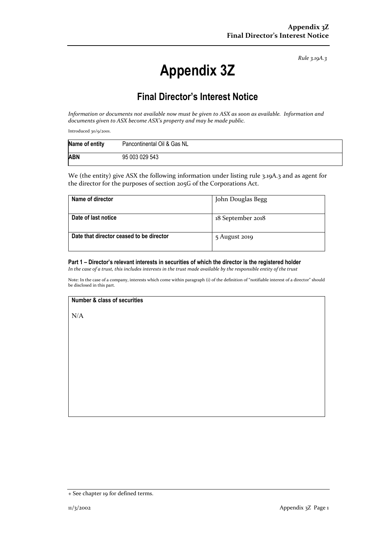*Rule 3.19A.3*

# **Appendix 3Z**

# **Final Director's Interest Notice**

Information or documents not available now must be given to ASX as soon as available. Information and *documents given to ASX become ASX's property and may be made public.*

Introduced 30/9/2001.

| Name of entity | Pancontinental Oil & Gas NL |
|----------------|-----------------------------|
| <b>ABN</b>     | 95 003 029 543              |

We (the entity) give ASX the following information under listing rule 3.19A.3 and as agent for the director for the purposes of section 205G of the Corporations Act.

| Name of director                         | John Douglas Begg |
|------------------------------------------|-------------------|
| Date of last notice                      | 18 September 2018 |
| Date that director ceased to be director | 5 August 2019     |

#### **Part 1 – Director's relevant interests in securities of which the director is the registered holder**

In the case of a trust, this includes interests in the trust made available by the responsible entity of the trust

Note: In the case of a company, interests which come within paragraph (i) of the definition of "notifiable interest of a director" should be disclosed in this part.

#### **Number & class of securities**

N/A

<sup>+</sup> See chapter 19 for defined terms.